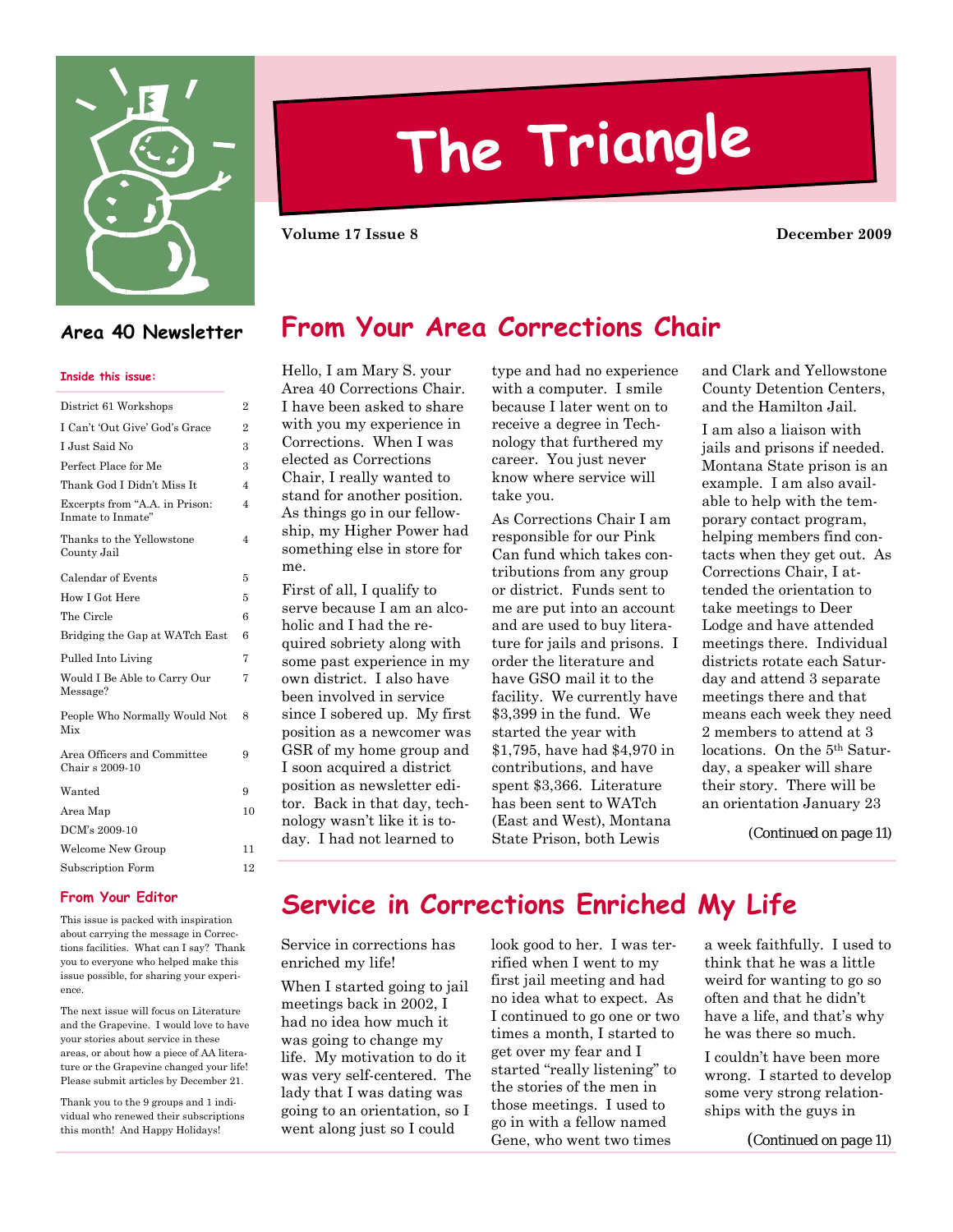

# **The Triangle**

**Volume 17 Issue 8 December 2009** 

### **From Your Area Corrections Chair**

#### District 61 Workshops 2 I Can't 'Out Give' God's Grace 2 **Inside this issue:**

**Area 40 Newsletter** 

| LJust Said No                                       | 3              |  |  |
|-----------------------------------------------------|----------------|--|--|
| Perfect Place for Me                                | 3              |  |  |
| Thank God I Didn't Miss It.                         |                |  |  |
| Excerpts from "A.A. in Prison:<br>Inmate to Inmate" | $\overline{4}$ |  |  |
| Thanks to the Yellowstone<br>County Jail            | $\overline{4}$ |  |  |
| Calendar of Events                                  | 5              |  |  |
| How I Got Here                                      | 5              |  |  |
| The Circle                                          | 6              |  |  |
| Bridging the Gap at WATch East                      | 6              |  |  |
| Pulled Into Living                                  | 7              |  |  |
| Would I Be Able to Carry Our<br>Message?            | 7              |  |  |
| People Who Normally Would Not<br>Mix                | 8              |  |  |
| Area Officers and Committee<br>Chair s 2009-10      | 9              |  |  |
| Wanted                                              | 9              |  |  |
| Area Map                                            | 10             |  |  |
| DCM's 2009-10                                       |                |  |  |
| Welcome New Group                                   | 11             |  |  |
| Subscription Form                                   | 12             |  |  |

#### **From Your Editor**

This issue is packed with inspiration about carrying the message in Corrections facilities. What can I say? Thank you to everyone who helped make this issue possible, for sharing your experience.

The next issue will focus on Literature and the Grapevine. I would love to have your stories about service in these areas, or about how a piece of AA literature or the Grapevine changed your life! Please submit articles by December 21.

Thank you to the 9 groups and 1 individual who renewed their subscriptions this month! And Happy Holidays!

Hello, I am Mary S. your Area 40 Corrections Chair. I have been asked to share with you my experience in Corrections. When I was elected as Corrections Chair, I really wanted to stand for another position. As things go in our fellowship, my Higher Power had something else in store for me.

First of all, I qualify to serve because I am an alcoholic and I had the required sobriety along with some past experience in my own district. I also have been involved in service since I sobered up. My first position as a newcomer was GSR of my home group and I soon acquired a district position as newsletter editor. Back in that day, technology wasn't like it is today. I had not learned to

type and had no experience with a computer. I smile because I later went on to receive a degree in Technology that furthered my career. You just never know where service will take you.

As Corrections Chair I am responsible for our Pink Can fund which takes contributions from any group or district. Funds sent to me are put into an account and are used to buy literature for jails and prisons. I order the literature and have GSO mail it to the facility. We currently have \$3,399 in the fund. We started the year with \$1,795, have had \$4,970 in contributions, and have spent \$3,366. Literature has been sent to WATch (East and West), Montana State Prison, both Lewis

and Clark and Yellowstone County Detention Centers, and the Hamilton Jail.

I am also a liaison with jails and prisons if needed. Montana State prison is an example. I am also available to help with the temporary contact program, helping members find contacts when they get out. As Corrections Chair, I attended the orientation to take meetings to Deer Lodge and have attended meetings there. Individual districts rotate each Saturday and attend 3 separate meetings there and that means each week they need 2 members to attend at 3 locations. On the 5th Saturday, a speaker will share their story. There will be an orientation January 23

*(Continued on page 11)* 

## **Service in Corrections Enriched My Life**

Service in corrections has enriched my life!

When I started going to jail meetings back in 2002, I had no idea how much it was going to change my life. My motivation to do it was very self-centered. The lady that I was dating was going to an orientation, so I went along just so I could

look good to her. I was terrified when I went to my first jail meeting and had no idea what to expect. As I continued to go one or two times a month, I started to get over my fear and I started "really listening" to the stories of the men in those meetings. I used to go in with a fellow named Gene, who went two times

a week faithfully. I used to think that he was a little weird for wanting to go so often and that he didn't have a life, and that's why he was there so much.

I couldn't have been more wrong. I started to develop some very strong relationships with the guys in

*(Continued on page 11)*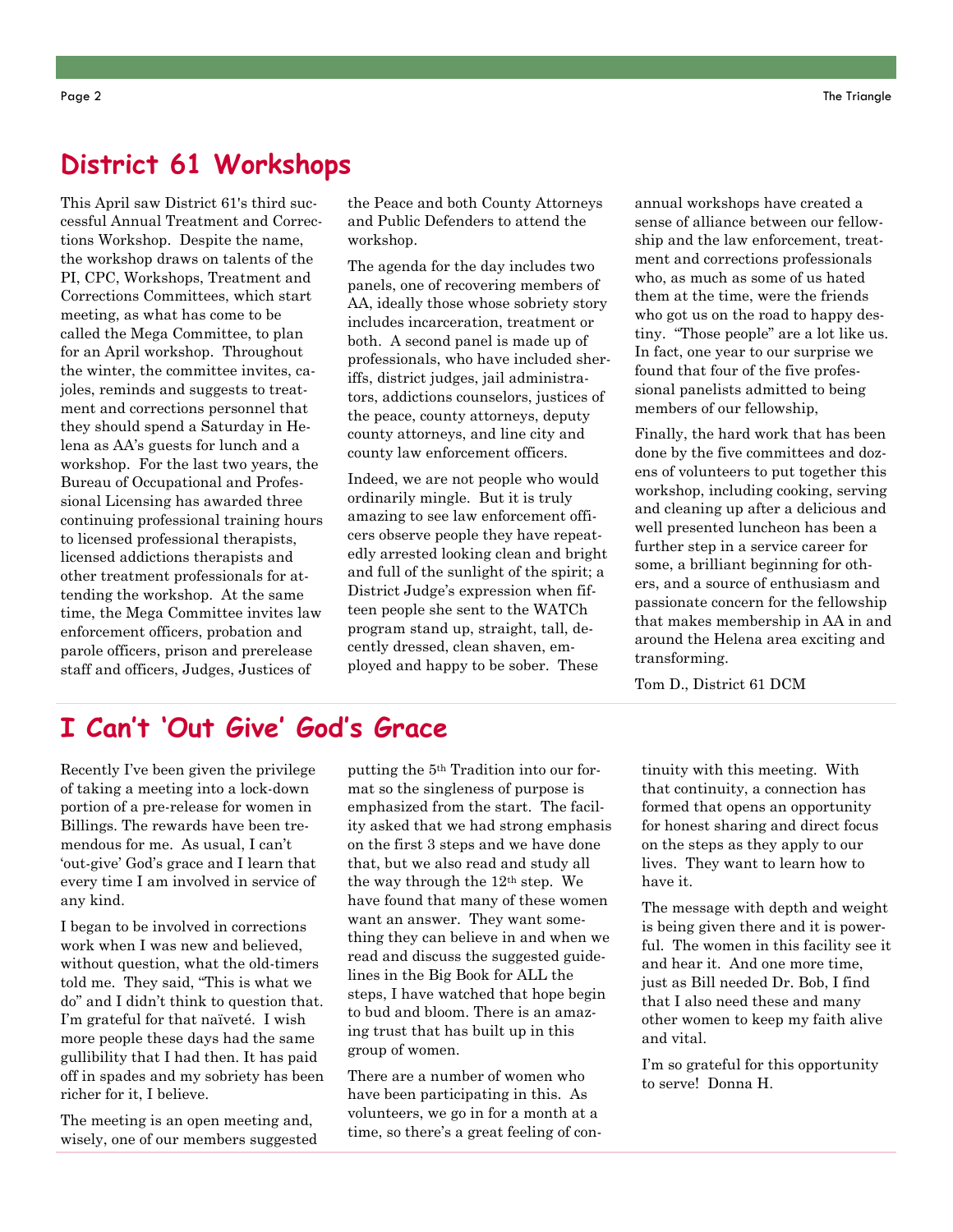#### **District 61 Workshops**

This April saw District 61's third successful Annual Treatment and Corrections Workshop. Despite the name, the workshop draws on talents of the PI, CPC, Workshops, Treatment and Corrections Committees, which start meeting, as what has come to be called the Mega Committee, to plan for an April workshop. Throughout the winter, the committee invites, cajoles, reminds and suggests to treatment and corrections personnel that they should spend a Saturday in Helena as AA's guests for lunch and a workshop. For the last two years, the Bureau of Occupational and Professional Licensing has awarded three continuing professional training hours to licensed professional therapists, licensed addictions therapists and other treatment professionals for attending the workshop. At the same time, the Mega Committee invites law enforcement officers, probation and parole officers, prison and prerelease staff and officers, Judges, Justices of

the Peace and both County Attorneys and Public Defenders to attend the workshop.

The agenda for the day includes two panels, one of recovering members of AA, ideally those whose sobriety story includes incarceration, treatment or both. A second panel is made up of professionals, who have included sheriffs, district judges, jail administrators, addictions counselors, justices of the peace, county attorneys, deputy county attorneys, and line city and county law enforcement officers.

Indeed, we are not people who would ordinarily mingle. But it is truly amazing to see law enforcement officers observe people they have repeatedly arrested looking clean and bright and full of the sunlight of the spirit; a District Judge's expression when fifteen people she sent to the WATCh program stand up, straight, tall, decently dressed, clean shaven, employed and happy to be sober. These

annual workshops have created a sense of alliance between our fellowship and the law enforcement, treatment and corrections professionals who, as much as some of us hated them at the time, were the friends who got us on the road to happy destiny. "Those people" are a lot like us. In fact, one year to our surprise we found that four of the five professional panelists admitted to being members of our fellowship,

Finally, the hard work that has been done by the five committees and dozens of volunteers to put together this workshop, including cooking, serving and cleaning up after a delicious and well presented luncheon has been a further step in a service career for some, a brilliant beginning for others, and a source of enthusiasm and passionate concern for the fellowship that makes membership in AA in and around the Helena area exciting and transforming.

Tom D., District 61 DCM

### **I Can't 'Out Give' God's Grace**

Recently I've been given the privilege of taking a meeting into a lock-down portion of a pre-release for women in Billings. The rewards have been tremendous for me. As usual, I can't 'out-give' God's grace and I learn that every time I am involved in service of any kind.

I began to be involved in corrections work when I was new and believed, without question, what the old-timers told me. They said, "This is what we do" and I didn't think to question that. I'm grateful for that naïveté. I wish more people these days had the same gullibility that I had then. It has paid off in spades and my sobriety has been richer for it, I believe.

The meeting is an open meeting and, wisely, one of our members suggested putting the 5th Tradition into our format so the singleness of purpose is emphasized from the start. The facility asked that we had strong emphasis on the first 3 steps and we have done that, but we also read and study all the way through the 12th step. We have found that many of these women want an answer. They want something they can believe in and when we read and discuss the suggested guidelines in the Big Book for ALL the steps, I have watched that hope begin to bud and bloom. There is an amazing trust that has built up in this group of women.

There are a number of women who have been participating in this. As volunteers, we go in for a month at a time, so there's a great feeling of continuity with this meeting. With that continuity, a connection has formed that opens an opportunity for honest sharing and direct focus on the steps as they apply to our lives. They want to learn how to have it.

The message with depth and weight is being given there and it is powerful. The women in this facility see it and hear it. And one more time, just as Bill needed Dr. Bob, I find that I also need these and many other women to keep my faith alive and vital.

I'm so grateful for this opportunity to serve! Donna H.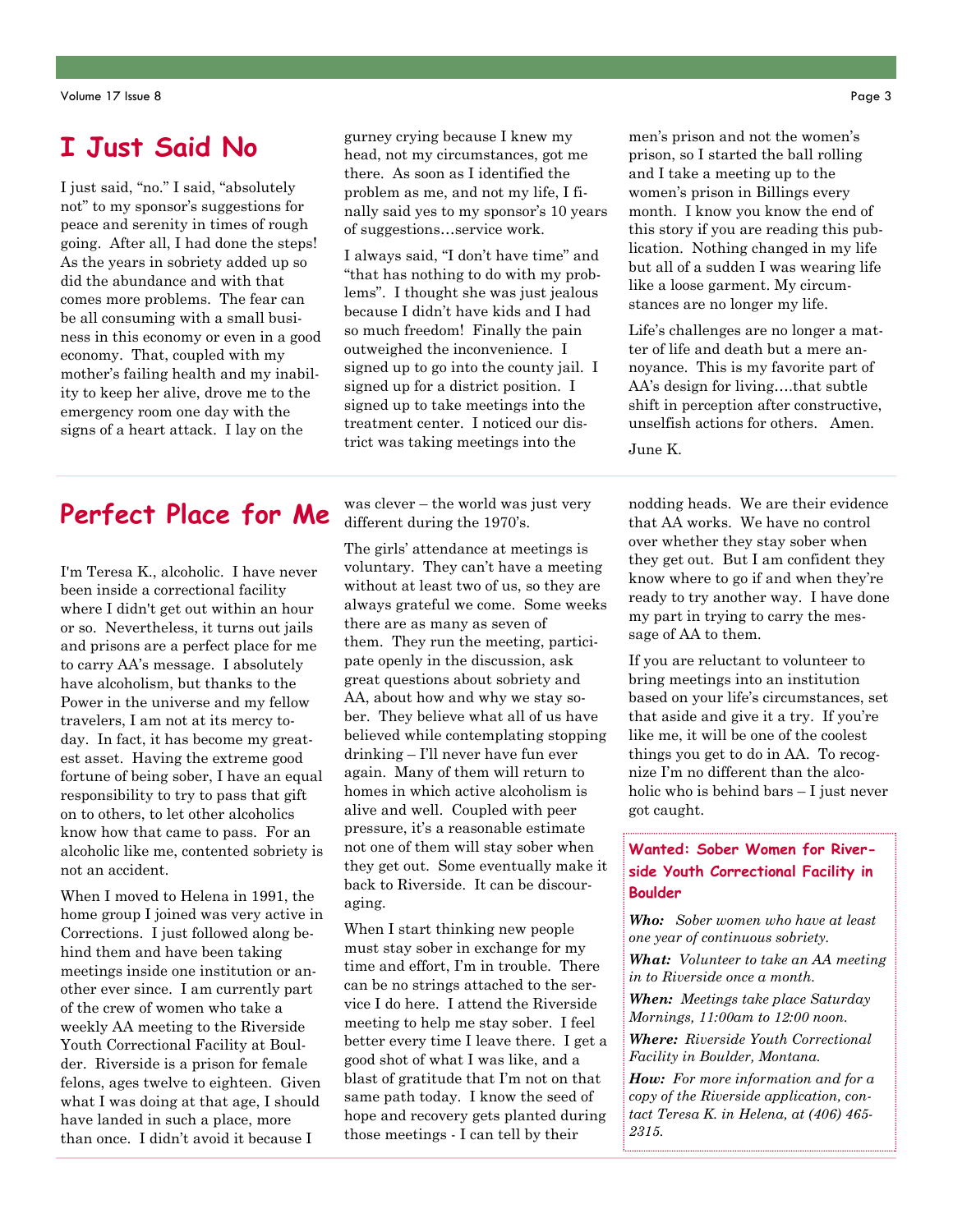### **I Just Said No**

I just said, "no." I said, "absolutely not" to my sponsor's suggestions for peace and serenity in times of rough going. After all, I had done the steps! As the years in sobriety added up so did the abundance and with that comes more problems. The fear can be all consuming with a small business in this economy or even in a good economy. That, coupled with my mother's failing health and my inability to keep her alive, drove me to the emergency room one day with the signs of a heart attack. I lay on the

#### **Perfect Place for Me**

I'm Teresa K., alcoholic. I have never been inside a correctional facility where I didn't get out within an hour or so. Nevertheless, it turns out jails and prisons are a perfect place for me to carry AA's message. I absolutely have alcoholism, but thanks to the Power in the universe and my fellow travelers, I am not at its mercy today. In fact, it has become my greatest asset. Having the extreme good fortune of being sober, I have an equal responsibility to try to pass that gift on to others, to let other alcoholics know how that came to pass. For an alcoholic like me, contented sobriety is not an accident.

When I moved to Helena in 1991, the home group I joined was very active in Corrections. I just followed along behind them and have been taking meetings inside one institution or another ever since. I am currently part of the crew of women who take a weekly AA meeting to the Riverside Youth Correctional Facility at Boulder. Riverside is a prison for female felons, ages twelve to eighteen. Given what I was doing at that age, I should have landed in such a place, more than once. I didn't avoid it because I

gurney crying because I knew my head, not my circumstances, got me there. As soon as I identified the problem as me, and not my life, I finally said yes to my sponsor's 10 years of suggestions…service work.

I always said, "I don't have time" and "that has nothing to do with my problems". I thought she was just jealous because I didn't have kids and I had so much freedom! Finally the pain outweighed the inconvenience. I signed up to go into the county jail. I signed up for a district position. I signed up to take meetings into the treatment center. I noticed our district was taking meetings into the

was clever – the world was just very different during the 1970's.

The girls' attendance at meetings is voluntary. They can't have a meeting without at least two of us, so they are always grateful we come. Some weeks there are as many as seven of them. They run the meeting, participate openly in the discussion, ask great questions about sobriety and AA, about how and why we stay sober. They believe what all of us have believed while contemplating stopping drinking – I'll never have fun ever again. Many of them will return to homes in which active alcoholism is alive and well. Coupled with peer pressure, it's a reasonable estimate not one of them will stay sober when they get out. Some eventually make it back to Riverside. It can be discouraging.

When I start thinking new people must stay sober in exchange for my time and effort, I'm in trouble. There can be no strings attached to the service I do here. I attend the Riverside meeting to help me stay sober. I feel better every time I leave there. I get a good shot of what I was like, and a blast of gratitude that I'm not on that same path today. I know the seed of hope and recovery gets planted during those meetings - I can tell by their

men's prison and not the women's prison, so I started the ball rolling and I take a meeting up to the women's prison in Billings every month. I know you know the end of this story if you are reading this publication. Nothing changed in my life but all of a sudden I was wearing life like a loose garment. My circumstances are no longer my life.

Life's challenges are no longer a matter of life and death but a mere annoyance. This is my favorite part of AA's design for living….that subtle shift in perception after constructive, unselfish actions for others. Amen.

June K.

nodding heads. We are their evidence that AA works. We have no control over whether they stay sober when they get out. But I am confident they know where to go if and when they're ready to try another way. I have done my part in trying to carry the message of AA to them.

If you are reluctant to volunteer to bring meetings into an institution based on your life's circumstances, set that aside and give it a try. If you're like me, it will be one of the coolest things you get to do in AA. To recognize I'm no different than the alcoholic who is behind bars  $-$  I just never got caught.

#### **Wanted: Sober Women for Riverside Youth Correctional Facility in Boulder**

*Who: Sober women who have at least one year of continuous sobriety.* 

*What: Volunteer to take an AA meeting in to Riverside once a month.* 

*When: Meetings take place Saturday Mornings, 11:00am to 12:00 noon.* 

*Where: Riverside Youth Correctional Facility in Boulder, Montana.* 

*How: For more information and for a copy of the Riverside application, contact Teresa K. in Helena, at (406) 465- 2315.*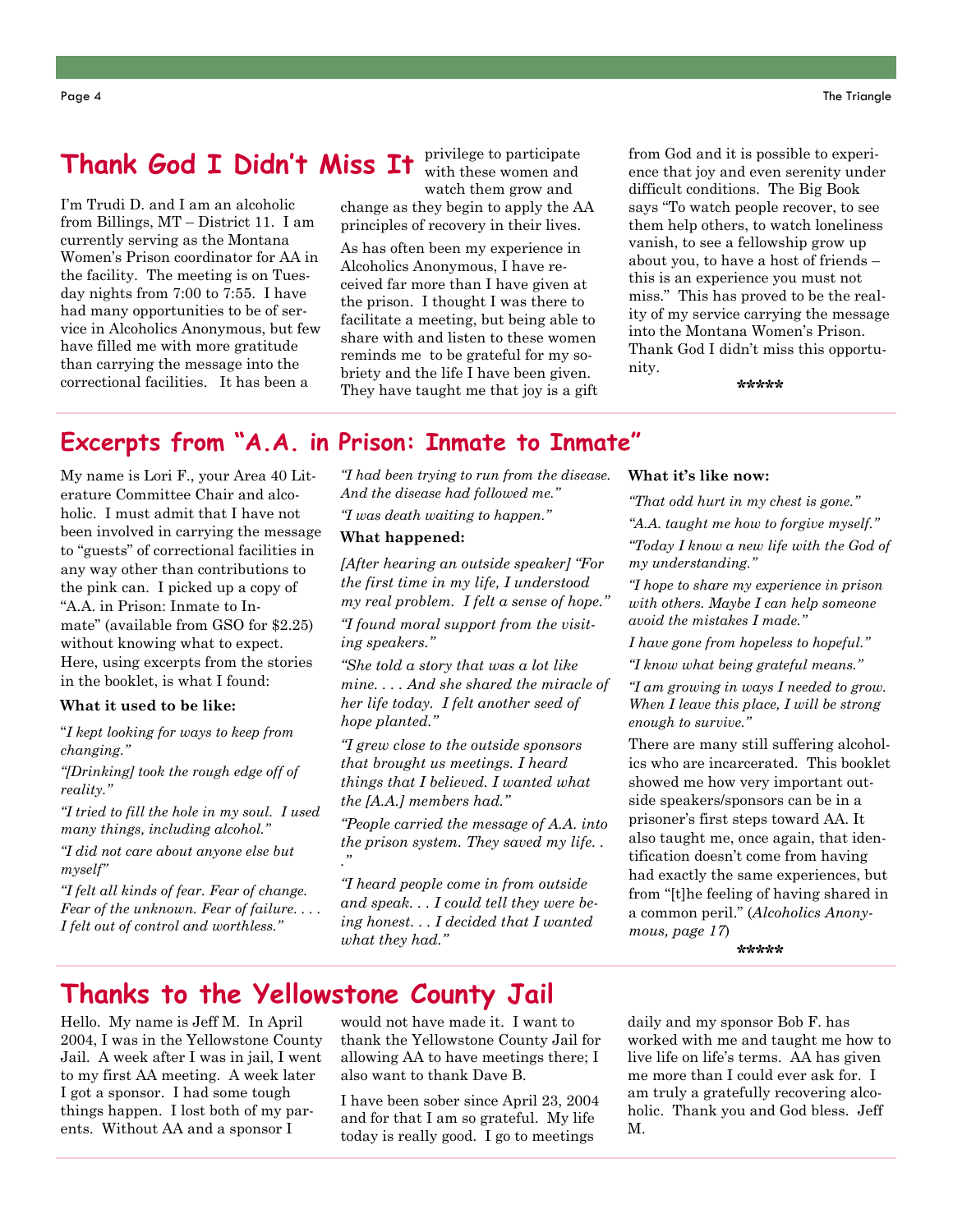### **Thank God I Didn't Miss It** with these women and

I'm Trudi D. and I am an alcoholic from Billings, MT – District 11. I am currently serving as the Montana Women's Prison coordinator for AA in the facility. The meeting is on Tuesday nights from 7:00 to 7:55. I have had many opportunities to be of service in Alcoholics Anonymous, but few have filled me with more gratitude than carrying the message into the correctional facilities. It has been a

privilege to participate watch them grow and

change as they begin to apply the AA principles of recovery in their lives.

As has often been my experience in Alcoholics Anonymous, I have received far more than I have given at the prison. I thought I was there to facilitate a meeting, but being able to share with and listen to these women reminds me to be grateful for my sobriety and the life I have been given. They have taught me that joy is a gift from God and it is possible to experience that joy and even serenity under difficult conditions. The Big Book says "To watch people recover, to see them help others, to watch loneliness vanish, to see a fellowship grow up about you, to have a host of friends – this is an experience you must not miss." This has proved to be the reality of my service carrying the message into the Montana Women's Prison. Thank God I didn't miss this opportunity.

**\*\*\*\*\***

#### **Excerpts from "A.A. in Prison: Inmate to Inmate"**

My name is Lori F., your Area 40 Literature Committee Chair and alcoholic. I must admit that I have not been involved in carrying the message to "guests" of correctional facilities in any way other than contributions to the pink can. I picked up a copy of "A.A. in Prison: Inmate to Inmate" (available from GSO for \$2.25) without knowing what to expect. Here, using excerpts from the stories in the booklet, is what I found:

#### **What it used to be like:**

"*I kept looking for ways to keep from changing."* 

*"[Drinking] took the rough edge off of reality."* 

*"I tried to fill the hole in my soul. I used many things, including alcohol."* 

*"I did not care about anyone else but myself"* 

*"I felt all kinds of fear. Fear of change. Fear of the unknown. Fear of failure. . . . I felt out of control and worthless."* 

*"I had been trying to run from the disease. And the disease had followed me."* 

*"I was death waiting to happen."* 

#### **What happened:**

*[After hearing an outside speaker] "For the first time in my life, I understood my real problem. I felt a sense of hope." "I found moral support from the visiting speakers."* 

*"She told a story that was a lot like mine. . . . And she shared the miracle of her life today. I felt another seed of hope planted."* 

*"I grew close to the outside sponsors that brought us meetings. I heard things that I believed. I wanted what the [A.A.] members had."* 

*"People carried the message of A.A. into the prison system. They saved my life. . ."* 

*"I heard people come in from outside and speak. . . I could tell they were being honest. . . I decided that I wanted what they had."* 

#### **What it's like now:**

*"That odd hurt in my chest is gone."* 

*"A.A. taught me how to forgive myself." "Today I know a new life with the God of my understanding."* 

*"I hope to share my experience in prison with others. Maybe I can help someone avoid the mistakes I made."* 

*I have gone from hopeless to hopeful."* 

*"I know what being grateful means."* 

*"I am growing in ways I needed to grow. When I leave this place, I will be strong enough to survive."* 

There are many still suffering alcoholics who are incarcerated. This booklet showed me how very important outside speakers/sponsors can be in a prisoner's first steps toward AA. It also taught me, once again, that identification doesn't come from having had exactly the same experiences, but from "[t]he feeling of having shared in a common peril." (*Alcoholics Anonymous, page 17*)

**\*\*\*\*\*** 

#### **Thanks to the Yellowstone County Jail**

Hello. My name is Jeff M. In April 2004, I was in the Yellowstone County Jail. A week after I was in jail, I went to my first AA meeting. A week later I got a sponsor. I had some tough things happen. I lost both of my parents. Without AA and a sponsor I

would not have made it. I want to thank the Yellowstone County Jail for allowing AA to have meetings there; I also want to thank Dave B.

I have been sober since April 23, 2004 and for that I am so grateful. My life today is really good. I go to meetings

daily and my sponsor Bob F. has worked with me and taught me how to live life on life's terms. AA has given me more than I could ever ask for. I am truly a gratefully recovering alcoholic. Thank you and God bless. Jeff M.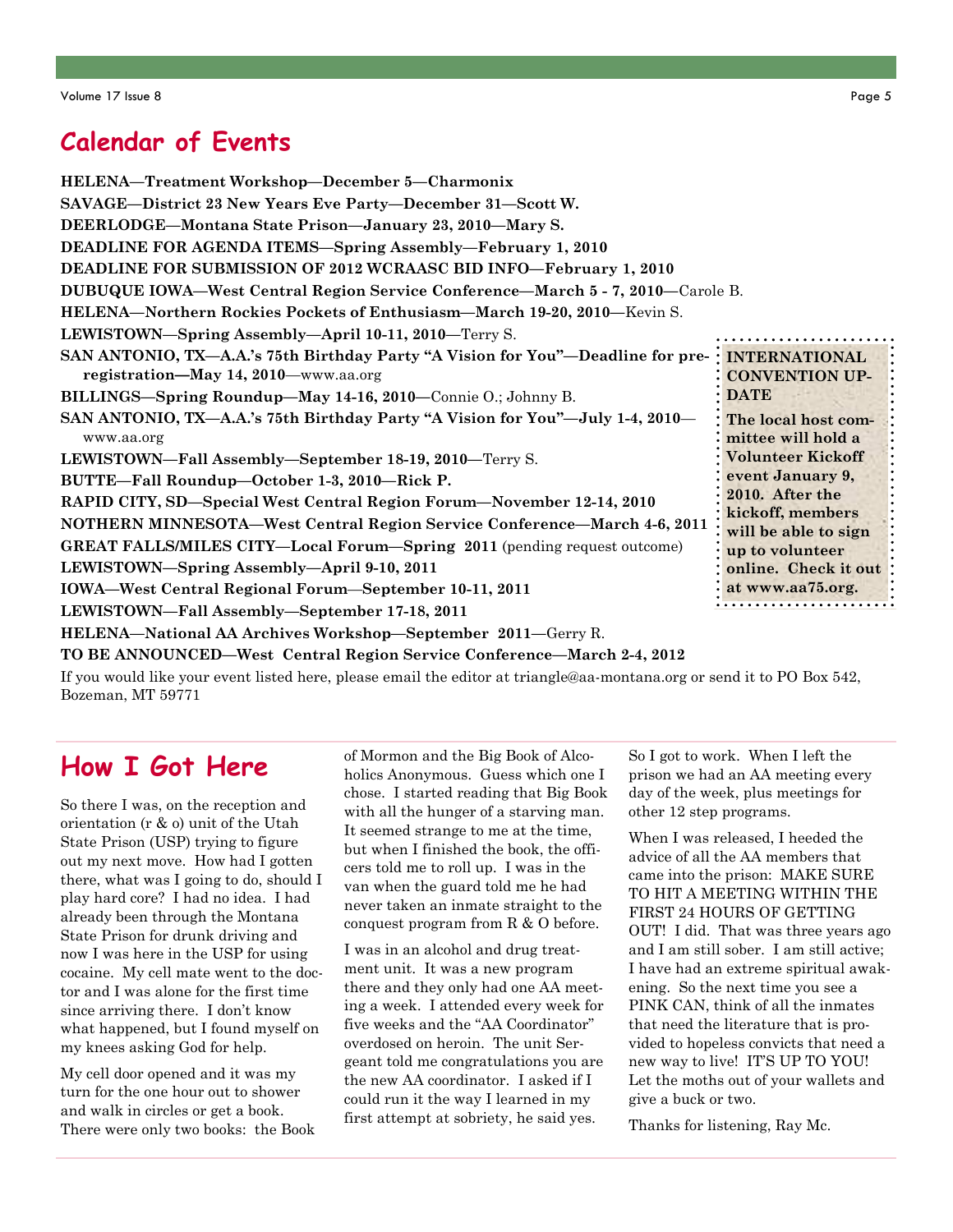#### **Calendar of Events**

**HELENA—Treatment Workshop—December 5—Charmonix SAVAGE—District 23 New Years Eve Party—December 31—Scott W. DEERLODGE—Montana State Prison—January 23, 2010—Mary S. DEADLINE FOR AGENDA ITEMS—Spring Assembly—February 1, 2010 DEADLINE FOR SUBMISSION OF 2012 WCRAASC BID INFO—February 1, 2010 DUBUQUE IOWA—West Central Region Service Conference—March 5 - 7, 2010—**Carole B. **HELENA—Northern Rockies Pockets of Enthusiasm—March 19-20, 2010—**Kevin S. **LEWISTOWN—Spring Assembly—April 10-11, 2010—**Terry S. **SAN ANTONIO, TX—A.A.'s 75th Birthday Party "A Vision for You"—Deadline for preregistration—May 14, 2010**—www.aa.org **BILLINGS—Spring Roundup—May 14-16, 2010—**Connie O.; Johnny B. **SAN ANTONIO, TX—A.A.'s 75th Birthday Party "A Vision for You"—July 1-4, 2010** www.aa.org **LEWISTOWN—Fall Assembly—September 18-19, 2010—**Terry S. **BUTTE—Fall Roundup—October 1-3, 2010—Rick P. RAPID CITY, SD—Special West Central Region Forum—November 12-14, 2010 NOTHERN MINNESOTA—West Central Region Service Conference—March 4-6, 2011 GREAT FALLS/MILES CITY—Local Forum—Spring 2011** (pending request outcome) **LEWISTOWN—Spring Assembly—April 9-10, 2011 IOWA—West Central Regional Forum**—**September 10-11, 2011 LEWISTOWN—Fall Assembly—September 17-18, 2011 HELENA—National AA Archives Workshop—September 2011—**Gerry R. **INTERNATIONAL CONVENTION UP-DATE The local host committee will hold a Volunteer Kickoff event January 9, 2010. After the kickoff, members will be able to sign up to volunteer online. Check it out at www.aa75.org.** 

**TO BE ANNOUNCED—West Central Region Service Conference—March 2-4, 2012** 

If you would like your event listed here, please email the editor at triangle@aa-montana.org or send it to PO Box 542, Bozeman, MT 59771

### **How I Got Here**

So there I was, on the reception and orientation (r & o) unit of the Utah State Prison (USP) trying to figure out my next move. How had I gotten there, what was I going to do, should I play hard core? I had no idea. I had already been through the Montana State Prison for drunk driving and now I was here in the USP for using cocaine. My cell mate went to the doctor and I was alone for the first time since arriving there. I don't know what happened, but I found myself on my knees asking God for help.

My cell door opened and it was my turn for the one hour out to shower and walk in circles or get a book. There were only two books: the Book of Mormon and the Big Book of Alcoholics Anonymous. Guess which one I chose. I started reading that Big Book with all the hunger of a starving man. It seemed strange to me at the time, but when I finished the book, the officers told me to roll up. I was in the van when the guard told me he had never taken an inmate straight to the conquest program from R & O before.

I was in an alcohol and drug treatment unit. It was a new program there and they only had one AA meeting a week. I attended every week for five weeks and the "AA Coordinator" overdosed on heroin. The unit Sergeant told me congratulations you are the new AA coordinator. I asked if I could run it the way I learned in my first attempt at sobriety, he said yes.

So I got to work. When I left the prison we had an AA meeting every day of the week, plus meetings for other 12 step programs.

When I was released, I heeded the advice of all the AA members that came into the prison: MAKE SURE TO HIT A MEETING WITHIN THE FIRST 24 HOURS OF GETTING OUT! I did. That was three years ago and I am still sober. I am still active; I have had an extreme spiritual awakening. So the next time you see a PINK CAN, think of all the inmates that need the literature that is provided to hopeless convicts that need a new way to live! IT'S UP TO YOU! Let the moths out of your wallets and give a buck or two.

Thanks for listening, Ray Mc.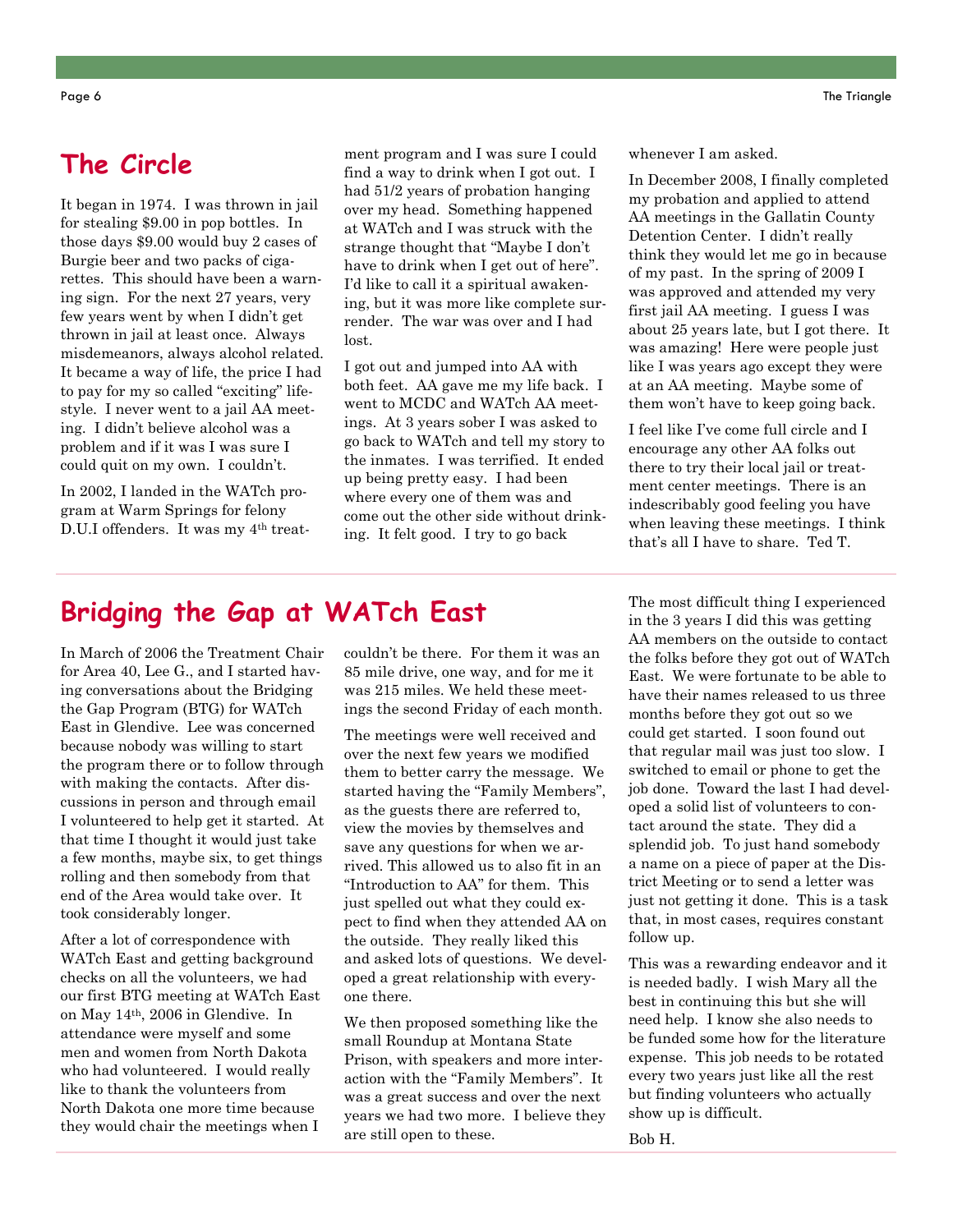### **The Circle**

It began in 1974. I was thrown in jail for stealing \$9.00 in pop bottles. In those days \$9.00 would buy 2 cases of Burgie beer and two packs of cigarettes. This should have been a warning sign. For the next 27 years, very few years went by when I didn't get thrown in jail at least once. Always misdemeanors, always alcohol related. It became a way of life, the price I had to pay for my so called "exciting" lifestyle. I never went to a jail AA meeting. I didn't believe alcohol was a problem and if it was I was sure I could quit on my own. I couldn't.

In 2002, I landed in the WATch program at Warm Springs for felony D.U.I offenders. It was my 4<sup>th</sup> treatment program and I was sure I could find a way to drink when I got out. I had 51/2 years of probation hanging over my head. Something happened at WATch and I was struck with the strange thought that "Maybe I don't have to drink when I get out of here". I'd like to call it a spiritual awakening, but it was more like complete surrender. The war was over and I had lost.

I got out and jumped into AA with both feet. AA gave me my life back. I went to MCDC and WATch AA meetings. At 3 years sober I was asked to go back to WATch and tell my story to the inmates. I was terrified. It ended up being pretty easy. I had been where every one of them was and come out the other side without drinking. It felt good. I try to go back

whenever I am asked.

In December 2008, I finally completed my probation and applied to attend AA meetings in the Gallatin County Detention Center. I didn't really think they would let me go in because of my past. In the spring of 2009 I was approved and attended my very first jail AA meeting. I guess I was about 25 years late, but I got there. It was amazing! Here were people just like I was years ago except they were at an AA meeting. Maybe some of them won't have to keep going back.

I feel like I've come full circle and I encourage any other AA folks out there to try their local jail or treatment center meetings. There is an indescribably good feeling you have when leaving these meetings. I think that's all I have to share. Ted T.

#### **Bridging the Gap at WATch East**

In March of 2006 the Treatment Chair for Area 40, Lee G., and I started having conversations about the Bridging the Gap Program (BTG) for WATch East in Glendive. Lee was concerned because nobody was willing to start the program there or to follow through with making the contacts. After discussions in person and through email I volunteered to help get it started. At that time I thought it would just take a few months, maybe six, to get things rolling and then somebody from that end of the Area would take over. It took considerably longer.

After a lot of correspondence with WATch East and getting background checks on all the volunteers, we had our first BTG meeting at WATch East on May 14th, 2006 in Glendive. In attendance were myself and some men and women from North Dakota who had volunteered. I would really like to thank the volunteers from North Dakota one more time because they would chair the meetings when I

couldn't be there. For them it was an 85 mile drive, one way, and for me it was 215 miles. We held these meetings the second Friday of each month.

The meetings were well received and over the next few years we modified them to better carry the message. We started having the "Family Members", as the guests there are referred to, view the movies by themselves and save any questions for when we arrived. This allowed us to also fit in an "Introduction to AA" for them. This just spelled out what they could expect to find when they attended AA on the outside. They really liked this and asked lots of questions. We developed a great relationship with everyone there.

We then proposed something like the small Roundup at Montana State Prison, with speakers and more interaction with the "Family Members". It was a great success and over the next years we had two more. I believe they are still open to these.

The most difficult thing I experienced in the 3 years I did this was getting AA members on the outside to contact the folks before they got out of WATch East. We were fortunate to be able to have their names released to us three months before they got out so we could get started. I soon found out that regular mail was just too slow. I switched to email or phone to get the job done. Toward the last I had developed a solid list of volunteers to contact around the state. They did a splendid job. To just hand somebody a name on a piece of paper at the District Meeting or to send a letter was just not getting it done. This is a task that, in most cases, requires constant follow up.

This was a rewarding endeavor and it is needed badly. I wish Mary all the best in continuing this but she will need help. I know she also needs to be funded some how for the literature expense. This job needs to be rotated every two years just like all the rest but finding volunteers who actually show up is difficult.

Bob H.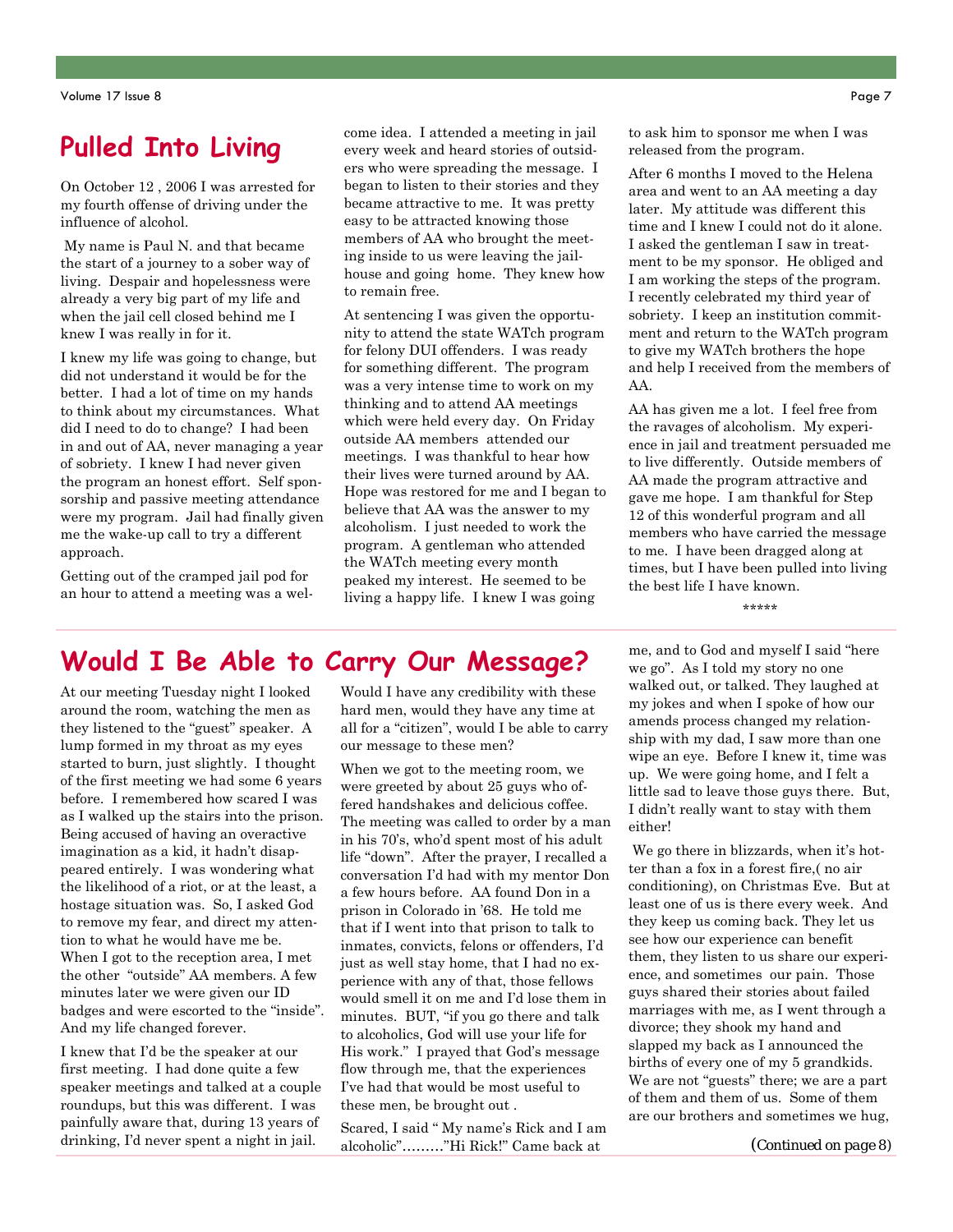# **Pulled Into Living**

On October 12 , 2006 I was arrested for my fourth offense of driving under the influence of alcohol.

 My name is Paul N. and that became the start of a journey to a sober way of living. Despair and hopelessness were already a very big part of my life and when the jail cell closed behind me I knew I was really in for it.

I knew my life was going to change, but did not understand it would be for the better. I had a lot of time on my hands to think about my circumstances. What did I need to do to change? I had been in and out of AA, never managing a year of sobriety. I knew I had never given the program an honest effort. Self sponsorship and passive meeting attendance were my program. Jail had finally given me the wake-up call to try a different approach.

Getting out of the cramped jail pod for an hour to attend a meeting was a welcome idea. I attended a meeting in jail every week and heard stories of outsiders who were spreading the message. I began to listen to their stories and they became attractive to me. It was pretty easy to be attracted knowing those members of AA who brought the meeting inside to us were leaving the jailhouse and going home. They knew how to remain free.

At sentencing I was given the opportunity to attend the state WATch program for felony DUI offenders. I was ready for something different. The program was a very intense time to work on my thinking and to attend AA meetings which were held every day. On Friday outside AA members attended our meetings. I was thankful to hear how their lives were turned around by AA. Hope was restored for me and I began to believe that AA was the answer to my alcoholism. I just needed to work the program. A gentleman who attended the WATch meeting every month peaked my interest. He seemed to be living a happy life. I knew I was going

to ask him to sponsor me when I was released from the program.

After 6 months I moved to the Helena area and went to an AA meeting a day later. My attitude was different this time and I knew I could not do it alone. I asked the gentleman I saw in treatment to be my sponsor. He obliged and I am working the steps of the program. I recently celebrated my third year of sobriety. I keep an institution commitment and return to the WATch program to give my WATch brothers the hope and help I received from the members of AA.

AA has given me a lot. I feel free from the ravages of alcoholism. My experience in jail and treatment persuaded me to live differently. Outside members of AA made the program attractive and gave me hope. I am thankful for Step 12 of this wonderful program and all members who have carried the message to me. I have been dragged along at times, but I have been pulled into living the best life I have known.

\*\*\*\*\*

### **Would I Be Able to Carry Our Message?**

At our meeting Tuesday night I looked around the room, watching the men as they listened to the "guest" speaker. A lump formed in my throat as my eyes started to burn, just slightly. I thought of the first meeting we had some 6 years before. I remembered how scared I was as I walked up the stairs into the prison. Being accused of having an overactive imagination as a kid, it hadn't disappeared entirely. I was wondering what the likelihood of a riot, or at the least, a hostage situation was. So, I asked God to remove my fear, and direct my attention to what he would have me be. When I got to the reception area, I met the other "outside" AA members. A few minutes later we were given our ID badges and were escorted to the "inside". And my life changed forever.

I knew that I'd be the speaker at our first meeting. I had done quite a few speaker meetings and talked at a couple roundups, but this was different. I was painfully aware that, during 13 years of drinking, I'd never spent a night in jail.

Would I have any credibility with these hard men, would they have any time at all for a "citizen", would I be able to carry our message to these men?

When we got to the meeting room, we were greeted by about 25 guys who offered handshakes and delicious coffee. The meeting was called to order by a man in his 70's, who'd spent most of his adult life "down". After the prayer, I recalled a conversation I'd had with my mentor Don a few hours before. AA found Don in a prison in Colorado in '68. He told me that if I went into that prison to talk to inmates, convicts, felons or offenders, I'd just as well stay home, that I had no experience with any of that, those fellows would smell it on me and I'd lose them in minutes. BUT, "if you go there and talk to alcoholics, God will use your life for His work." I prayed that God's message flow through me, that the experiences I've had that would be most useful to these men, be brought out .

Scared, I said " My name's Rick and I am alcoholic"………"Hi Rick!" Came back at

me, and to God and myself I said "here we go". As I told my story no one walked out, or talked. They laughed at my jokes and when I spoke of how our amends process changed my relationship with my dad, I saw more than one wipe an eye. Before I knew it, time was up. We were going home, and I felt a little sad to leave those guys there. But, I didn't really want to stay with them either!

We go there in blizzards, when it's hotter than a fox in a forest fire,( no air conditioning), on Christmas Eve. But at least one of us is there every week. And they keep us coming back. They let us see how our experience can benefit them, they listen to us share our experience, and sometimes our pain. Those guys shared their stories about failed marriages with me, as I went through a divorce; they shook my hand and slapped my back as I announced the births of every one of my 5 grandkids. We are not "guests" there; we are a part of them and them of us. Some of them are our brothers and sometimes we hug,

*(Continued on page 8)*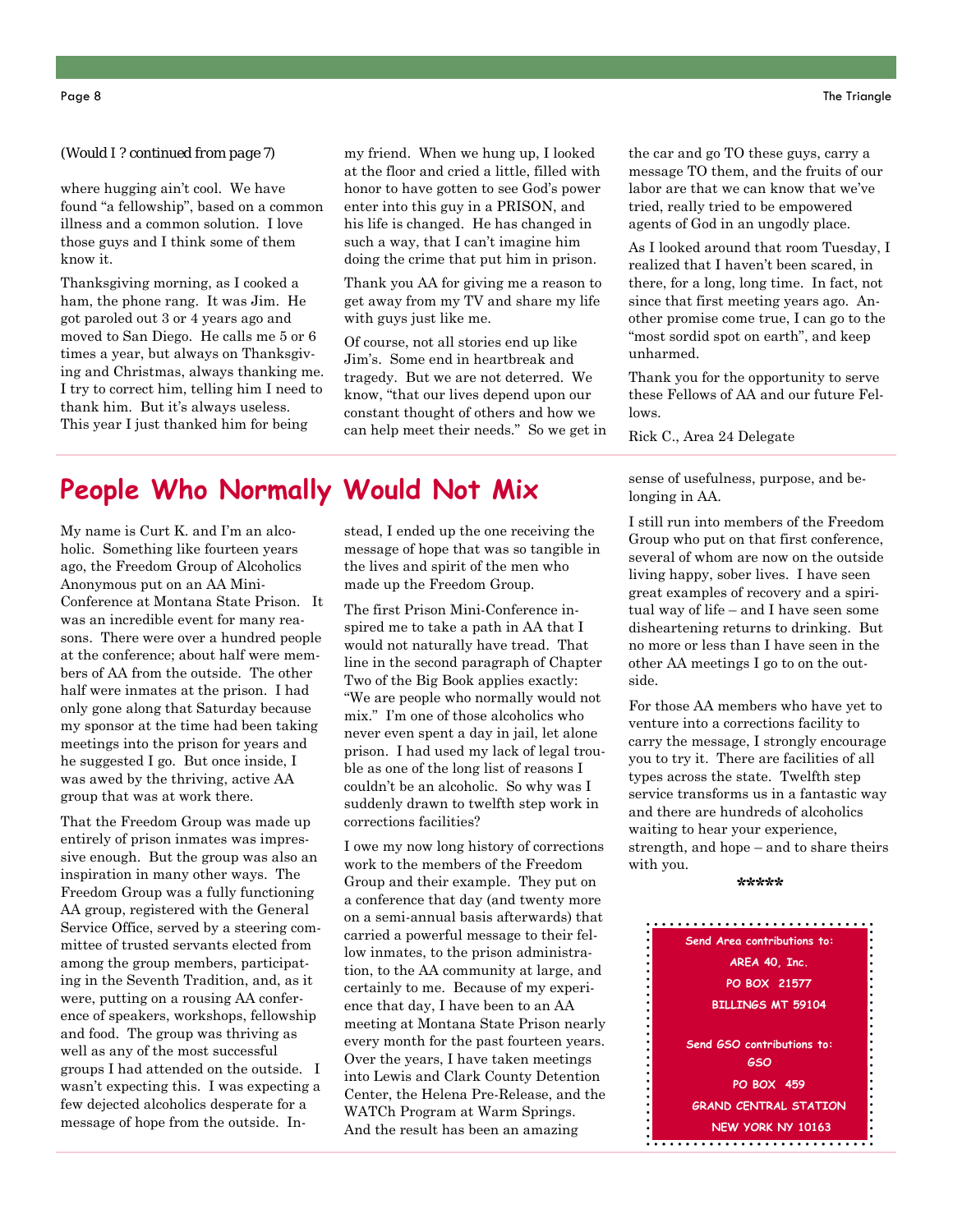where hugging ain't cool. We have found "a fellowship", based on a common illness and a common solution. I love those guys and I think some of them know it.

Thanksgiving morning, as I cooked a ham, the phone rang. It was Jim. He got paroled out 3 or 4 years ago and moved to San Diego. He calls me 5 or 6 times a year, but always on Thanksgiving and Christmas, always thanking me. I try to correct him, telling him I need to thank him. But it's always useless. This year I just thanked him for being

*(Would I ? continued from page 7)* my friend. When we hung up, I looked at the floor and cried a little, filled with honor to have gotten to see God's power enter into this guy in a PRISON, and his life is changed. He has changed in such a way, that I can't imagine him doing the crime that put him in prison.

> Thank you AA for giving me a reason to get away from my TV and share my life with guys just like me.

Of course, not all stories end up like Jim's. Some end in heartbreak and tragedy. But we are not deterred. We know, "that our lives depend upon our constant thought of others and how we can help meet their needs." So we get in

### **People Who Normally Would Not Mix**

My name is Curt K. and I'm an alcoholic. Something like fourteen years ago, the Freedom Group of Alcoholics Anonymous put on an AA Mini-Conference at Montana State Prison. It was an incredible event for many reasons. There were over a hundred people at the conference; about half were members of AA from the outside. The other half were inmates at the prison. I had only gone along that Saturday because my sponsor at the time had been taking meetings into the prison for years and he suggested I go. But once inside, I was awed by the thriving, active AA group that was at work there.

That the Freedom Group was made up entirely of prison inmates was impressive enough. But the group was also an inspiration in many other ways. The Freedom Group was a fully functioning AA group, registered with the General Service Office, served by a steering committee of trusted servants elected from among the group members, participating in the Seventh Tradition, and, as it were, putting on a rousing AA conference of speakers, workshops, fellowship and food. The group was thriving as well as any of the most successful groups I had attended on the outside. I wasn't expecting this. I was expecting a few dejected alcoholics desperate for a message of hope from the outside. Instead, I ended up the one receiving the message of hope that was so tangible in the lives and spirit of the men who made up the Freedom Group.

The first Prison Mini-Conference inspired me to take a path in AA that I would not naturally have tread. That line in the second paragraph of Chapter Two of the Big Book applies exactly: "We are people who normally would not mix." I'm one of those alcoholics who never even spent a day in jail, let alone prison. I had used my lack of legal trouble as one of the long list of reasons I couldn't be an alcoholic. So why was I suddenly drawn to twelfth step work in corrections facilities?

I owe my now long history of corrections work to the members of the Freedom Group and their example. They put on a conference that day (and twenty more on a semi-annual basis afterwards) that carried a powerful message to their fellow inmates, to the prison administration, to the AA community at large, and certainly to me. Because of my experience that day, I have been to an AA meeting at Montana State Prison nearly every month for the past fourteen years. Over the years, I have taken meetings into Lewis and Clark County Detention Center, the Helena Pre-Release, and the WATCh Program at Warm Springs. And the result has been an amazing

the car and go TO these guys, carry a message TO them, and the fruits of our labor are that we can know that we've tried, really tried to be empowered agents of God in an ungodly place.

As I looked around that room Tuesday, I realized that I haven't been scared, in there, for a long, long time. In fact, not since that first meeting years ago. Another promise come true, I can go to the "most sordid spot on earth", and keep unharmed.

Thank you for the opportunity to serve these Fellows of AA and our future Fellows.

Rick C., Area 24 Delegate

sense of usefulness, purpose, and belonging in AA.

I still run into members of the Freedom Group who put on that first conference, several of whom are now on the outside living happy, sober lives. I have seen great examples of recovery and a spiritual way of life – and I have seen some disheartening returns to drinking. But no more or less than I have seen in the other AA meetings I go to on the outside.

For those AA members who have yet to venture into a corrections facility to carry the message, I strongly encourage you to try it. There are facilities of all types across the state. Twelfth step service transforms us in a fantastic way and there are hundreds of alcoholics waiting to hear your experience, strength, and hope – and to share theirs with you.

**\*\*\*\*\*** 

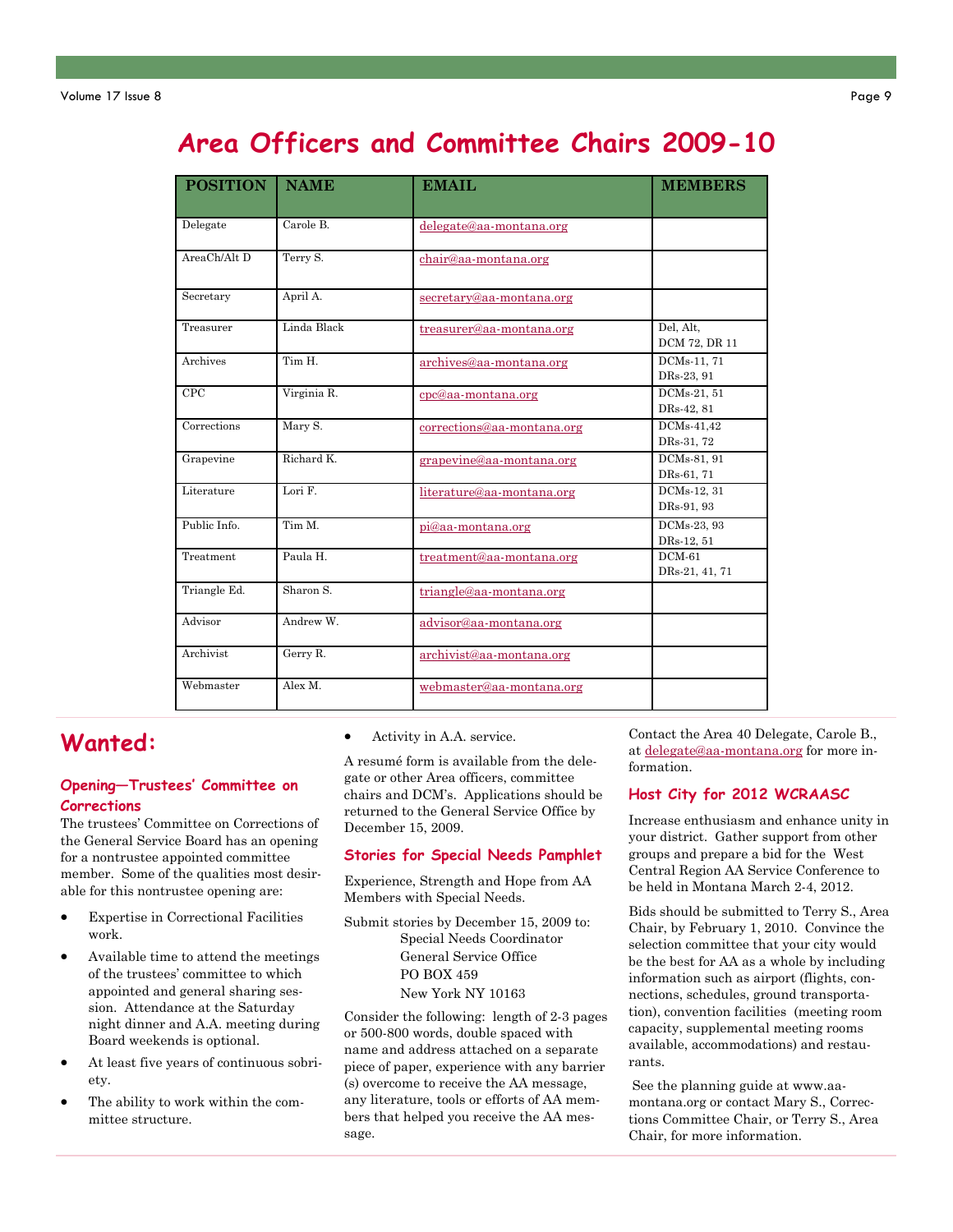### **Area Officers and Committee Chairs 2009-10**

| <b>POSITION</b> | <b>NAME</b> | <b>EMAIL</b>               | <b>MEMBERS</b>             |
|-----------------|-------------|----------------------------|----------------------------|
| Delegate        | Carole B.   | delegate@aa-montana.org    |                            |
| AreaCh/Alt D    | Terry S.    | chair@aa-montana.org       |                            |
| Secretary       | April A.    | secretary@aa-montana.org   |                            |
| Treasurer       | Linda Black | treasurer@aa-montana.org   | Del, Alt.<br>DCM 72, DR 11 |
| Archives        | Tim H.      | archives@aa-montana.org    | DCMs-11, 71<br>DRs-23, 91  |
| CPC             | Virginia R. | cpc@aa-montana.org         | DCMs-21, 51<br>DRs-42, 81  |
| Corrections     | Mary S.     | corrections@aa-montana.org | DCMs-41,42<br>DRs-31, 72   |
| Grapevine       | Richard K.  | grapevine@aa-montana.org   | DCMs-81, 91<br>DRs-61, 71  |
| Literature      | Lori F.     | literature@aa-montana.org  | DCMs-12, 31<br>DRs-91, 93  |
| Public Info.    | Tim M.      | pi@aa-montana.org          | DCMs-23, 93<br>DRs-12, 51  |
| Treatment       | Paula H.    | treatment@aa-montana.org   | $DCM-61$<br>DRs-21, 41, 71 |
| Triangle Ed.    | Sharon S.   | triangle@aa-montana.org    |                            |
| Advisor         | Andrew W.   | advisor@aa-montana.org     |                            |
| Archivist       | Gerry R.    | archivist@aa-montana.org   |                            |
| Webmaster       | Alex M.     | webmaster@aa-montana.org   |                            |

#### **Wanted:**

#### **Opening—Trustees' Committee on Corrections**

The trustees' Committee on Corrections of the General Service Board has an opening for a nontrustee appointed committee member. Some of the qualities most desirable for this nontrustee opening are:

- Expertise in Correctional Facilities work.
- Available time to attend the meetings of the trustees' committee to which appointed and general sharing session. Attendance at the Saturday night dinner and A.A. meeting during Board weekends is optional.
- At least five years of continuous sobriety.
- The ability to work within the committee structure.

• Activity in A.A. service.

A resumé form is available from the delegate or other Area officers, committee chairs and DCM's. Applications should be returned to the General Service Office by December 15, 2009.

#### **Stories for Special Needs Pamphlet**

Experience, Strength and Hope from AA Members with Special Needs.

Submit stories by December 15, 2009 to: Special Needs Coordinator General Service Office PO BOX 459 New York NY 10163

Consider the following: length of 2-3 pages or 500-800 words, double spaced with name and address attached on a separate piece of paper, experience with any barrier (s) overcome to receive the AA message, any literature, tools or efforts of AA members that helped you receive the AA message.

Contact the Area 40 Delegate, Carole B., at delegate@aa-montana.org for more information.

#### **Host City for 2012 WCRAASC**

Increase enthusiasm and enhance unity in your district. Gather support from other groups and prepare a bid for the West Central Region AA Service Conference to be held in Montana March 2-4, 2012.

Bids should be submitted to Terry S., Area Chair, by February 1, 2010. Convince the selection committee that your city would be the best for AA as a whole by including information such as airport (flights, connections, schedules, ground transportation), convention facilities (meeting room capacity, supplemental meeting rooms available, accommodations) and restaurants.

 See the planning guide at www.aamontana.org or contact Mary S., Corrections Committee Chair, or Terry S., Area Chair, for more information.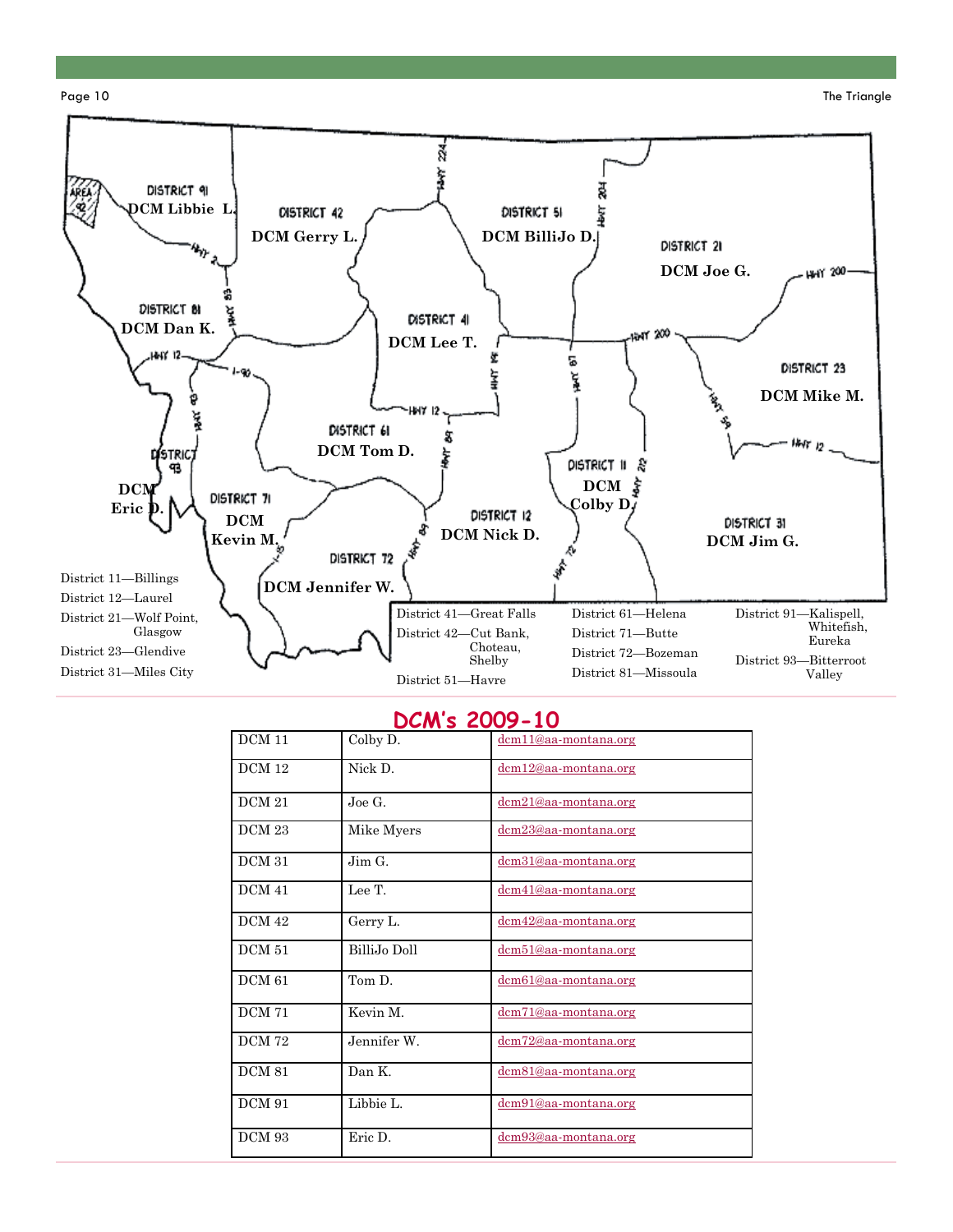Page 10 The Triangle



#### **DCM's 2009-10**

| DCM 11        | Colby D.            | <u>dcm11@aa-montana.org</u> |
|---------------|---------------------|-----------------------------|
| DCM 12        | Nick D.             | dcm12@aa-montana.org        |
| DCM 21        | Joe G.              | $dcm21@aa$ -montana.org     |
| DCM 23        | Mike Myers          | dcm23@aa-montana.org        |
| DCM 31        | Jim G.              | dcm31@aa-montana.org        |
| DCM 41        | Lee T.              | dcm41@aa-montana.org        |
| DCM 42        | Gerry L.            | dcm42@aa-montana.org        |
| DCM 51        | <b>BilliJo Doll</b> | dcm51@aa-montana.org        |
| DCM 61        | Tom D.              | dcm61@aa-montana.org        |
| <b>DCM 71</b> | Kevin M.            | $dcm71@aa$ -montana.org     |
| <b>DCM 72</b> | Jennifer W.         | $dcm72@aa$ -montana.org     |
| DCM 81        | Dan K.              | dcm81@aa-montana.org        |
| DCM 91        | Libbie L.           | $dcm91@aa$ -montana.org     |
| DCM 93        | Eric D.             | dcm93@aa-montana.org        |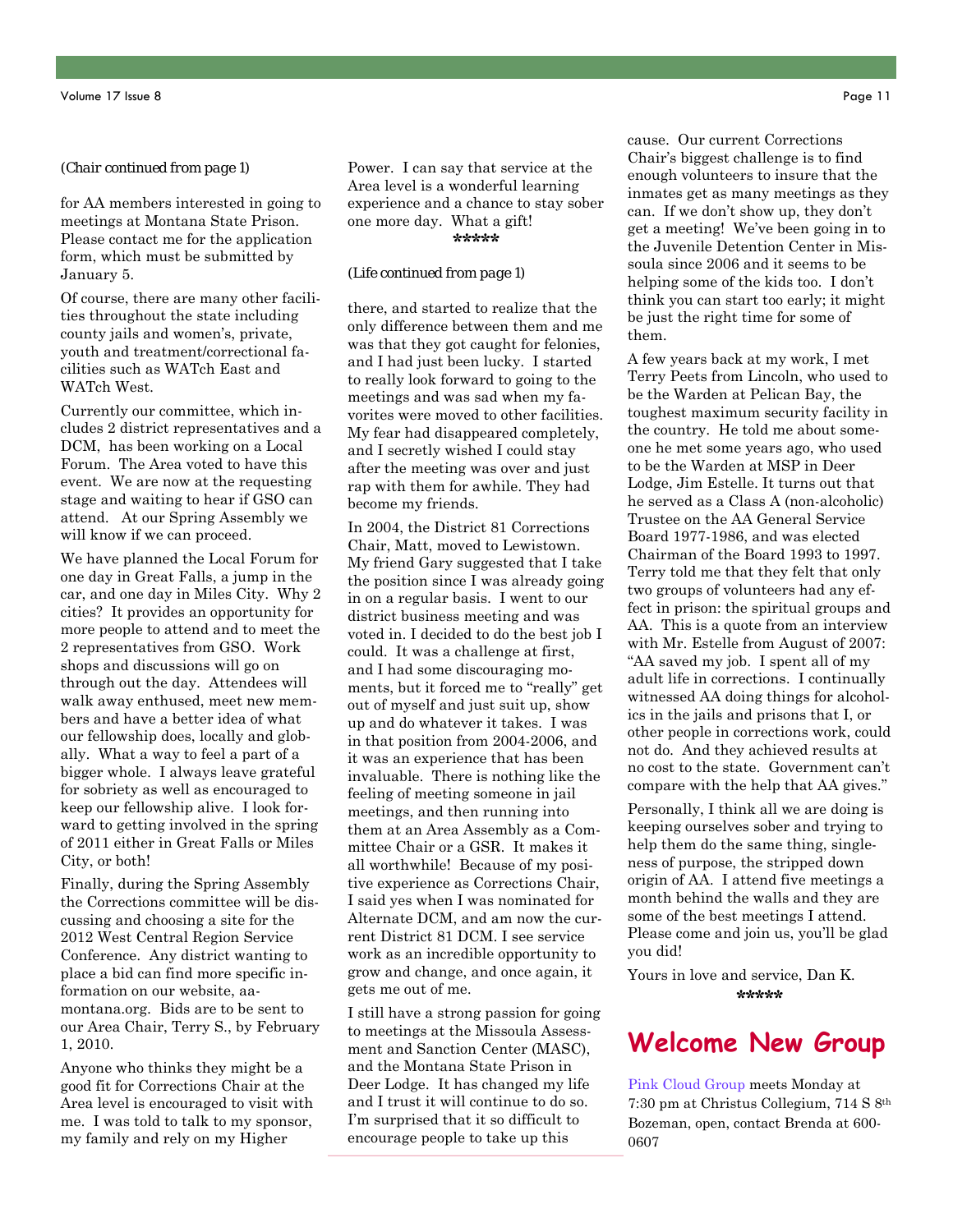for AA members interested in going to meetings at Montana State Prison. Please contact me for the application form, which must be submitted by January 5.

Of course, there are many other facilities throughout the state including county jails and women's, private, youth and treatment/correctional facilities such as WATch East and WATch West.

Currently our committee, which includes 2 district representatives and a DCM, has been working on a Local Forum. The Area voted to have this event. We are now at the requesting stage and waiting to hear if GSO can attend. At our Spring Assembly we will know if we can proceed.

We have planned the Local Forum for one day in Great Falls, a jump in the car, and one day in Miles City. Why 2 cities? It provides an opportunity for more people to attend and to meet the 2 representatives from GSO. Work shops and discussions will go on through out the day. Attendees will walk away enthused, meet new members and have a better idea of what our fellowship does, locally and globally. What a way to feel a part of a bigger whole. I always leave grateful for sobriety as well as encouraged to keep our fellowship alive. I look forward to getting involved in the spring of 2011 either in Great Falls or Miles City, or both!

Finally, during the Spring Assembly the Corrections committee will be discussing and choosing a site for the 2012 West Central Region Service Conference. Any district wanting to place a bid can find more specific information on our website, aamontana.org. Bids are to be sent to our Area Chair, Terry S., by February 1, 2010.

Anyone who thinks they might be a good fit for Corrections Chair at the Area level is encouraged to visit with me. I was told to talk to my sponsor, my family and rely on my Higher

*(Chair continued from page 1)* Power. I can say that service at the Area level is a wonderful learning experience and a chance to stay sober one more day. What a gift! **\*\*\*\*\*** 

#### *(Life continued from page 1)*

there, and started to realize that the only difference between them and me was that they got caught for felonies, and I had just been lucky. I started to really look forward to going to the meetings and was sad when my favorites were moved to other facilities. My fear had disappeared completely, and I secretly wished I could stay after the meeting was over and just rap with them for awhile. They had become my friends.

In 2004, the District 81 Corrections Chair, Matt, moved to Lewistown. My friend Gary suggested that I take the position since I was already going in on a regular basis. I went to our district business meeting and was voted in. I decided to do the best job I could. It was a challenge at first, and I had some discouraging moments, but it forced me to "really" get out of myself and just suit up, show up and do whatever it takes. I was in that position from 2004-2006, and it was an experience that has been invaluable. There is nothing like the feeling of meeting someone in jail meetings, and then running into them at an Area Assembly as a Committee Chair or a GSR. It makes it all worthwhile! Because of my positive experience as Corrections Chair, I said yes when I was nominated for Alternate DCM, and am now the current District 81 DCM. I see service work as an incredible opportunity to grow and change, and once again, it gets me out of me.

I still have a strong passion for going to meetings at the Missoula Assessment and Sanction Center (MASC), and the Montana State Prison in Deer Lodge. It has changed my life and I trust it will continue to do so. I'm surprised that it so difficult to encourage people to take up this

cause. Our current Corrections Chair's biggest challenge is to find enough volunteers to insure that the inmates get as many meetings as they can. If we don't show up, they don't get a meeting! We've been going in to the Juvenile Detention Center in Missoula since 2006 and it seems to be helping some of the kids too. I don't think you can start too early; it might be just the right time for some of them.

A few years back at my work, I met Terry Peets from Lincoln, who used to be the Warden at Pelican Bay, the toughest maximum security facility in the country. He told me about someone he met some years ago, who used to be the Warden at MSP in Deer Lodge, Jim Estelle. It turns out that he served as a Class A (non-alcoholic) Trustee on the AA General Service Board 1977-1986, and was elected Chairman of the Board 1993 to 1997. Terry told me that they felt that only two groups of volunteers had any effect in prison: the spiritual groups and AA. This is a quote from an interview with Mr. Estelle from August of 2007: "AA saved my job. I spent all of my adult life in corrections. I continually witnessed AA doing things for alcoholics in the jails and prisons that I, or other people in corrections work, could not do. And they achieved results at no cost to the state. Government can't compare with the help that AA gives."

Personally, I think all we are doing is keeping ourselves sober and trying to help them do the same thing, singleness of purpose, the stripped down origin of AA. I attend five meetings a month behind the walls and they are some of the best meetings I attend. Please come and join us, you'll be glad you did!

Yours in love and service, Dan K. **\*\*\*\*\***

#### **Welcome New Group**

Pink Cloud Group meets Monday at 7:30 pm at Christus Collegium, 714 S 8th Bozeman, open, contact Brenda at 600- 0607